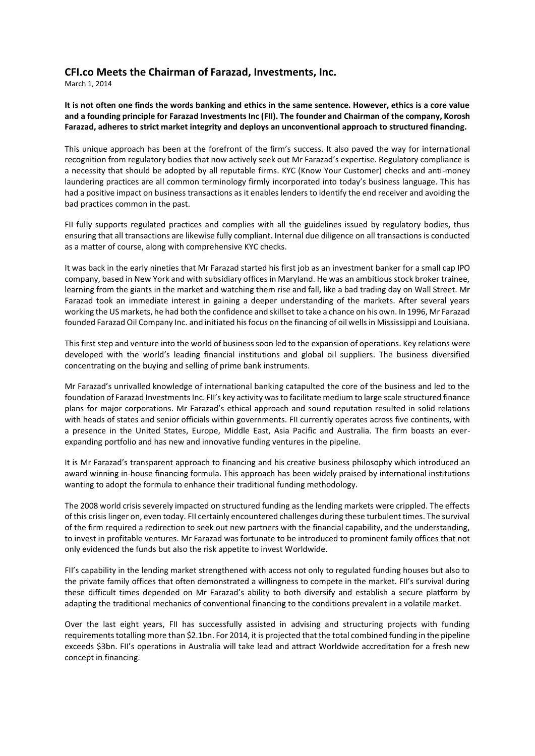## **CFI.co Meets the Chairman of Farazad, Investments, Inc.**

March 1, 2014

**It is not often one finds the words banking and ethics in the same sentence. However, ethics is a core value and a founding principle for Farazad Investments Inc (FII). The founder and Chairman of the company, Korosh Farazad, adheres to strict market integrity and deploys an unconventional approach to structured financing.**

This unique approach has been at the forefront of the firm's success. It also paved the way for international recognition from regulatory bodies that now actively seek out Mr Farazad's expertise. Regulatory compliance is a necessity that should be adopted by all reputable firms. KYC (Know Your Customer) checks and anti-money laundering practices are all common terminology firmly incorporated into today's business language. This has had a positive impact on business transactions as it enables lenders to identify the end receiver and avoiding the bad practices common in the past.

FII fully supports regulated practices and complies with all the guidelines issued by regulatory bodies, thus ensuring that all transactions are likewise fully compliant. Internal due diligence on all transactions is conducted as a matter of course, along with comprehensive KYC checks.

It was back in the early nineties that Mr Farazad started his first job as an investment banker for a small cap IPO company, based in New York and with subsidiary offices in Maryland. He was an ambitious stock broker trainee, learning from the giants in the market and watching them rise and fall, like a bad trading day on Wall Street. Mr Farazad took an immediate interest in gaining a deeper understanding of the markets. After several years working the US markets, he had both the confidence and skillset to take a chance on his own. In 1996, Mr Farazad founded Farazad Oil Company Inc. and initiated his focus on the financing of oil wells in Mississippi and Louisiana.

This first step and venture into the world of business soon led to the expansion of operations. Key relations were developed with the world's leading financial institutions and global oil suppliers. The business diversified concentrating on the buying and selling of prime bank instruments.

Mr Farazad's unrivalled knowledge of international banking catapulted the core of the business and led to the foundation of Farazad Investments Inc. FII's key activity was to facilitate medium to large scale structured finance plans for major corporations. Mr Farazad's ethical approach and sound reputation resulted in solid relations with heads of states and senior officials within governments. FII currently operates across five continents, with a presence in the United States, Europe, Middle East, Asia Pacific and Australia. The firm boasts an everexpanding portfolio and has new and innovative funding ventures in the pipeline.

It is Mr Farazad's transparent approach to financing and his creative business philosophy which introduced an award winning in-house financing formula. This approach has been widely praised by international institutions wanting to adopt the formula to enhance their traditional funding methodology.

The 2008 world crisis severely impacted on structured funding as the lending markets were crippled. The effects of this crisis linger on, even today. FII certainly encountered challenges during these turbulent times. The survival of the firm required a redirection to seek out new partners with the financial capability, and the understanding, to invest in profitable ventures. Mr Farazad was fortunate to be introduced to prominent family offices that not only evidenced the funds but also the risk appetite to invest Worldwide.

FII's capability in the lending market strengthened with access not only to regulated funding houses but also to the private family offices that often demonstrated a willingness to compete in the market. FII's survival during these difficult times depended on Mr Farazad's ability to both diversify and establish a secure platform by adapting the traditional mechanics of conventional financing to the conditions prevalent in a volatile market.

Over the last eight years, FII has successfully assisted in advising and structuring projects with funding requirements totalling more than \$2.1bn. For 2014, it is projected that the total combined funding in the pipeline exceeds \$3bn. FII's operations in Australia will take lead and attract Worldwide accreditation for a fresh new concept in financing.